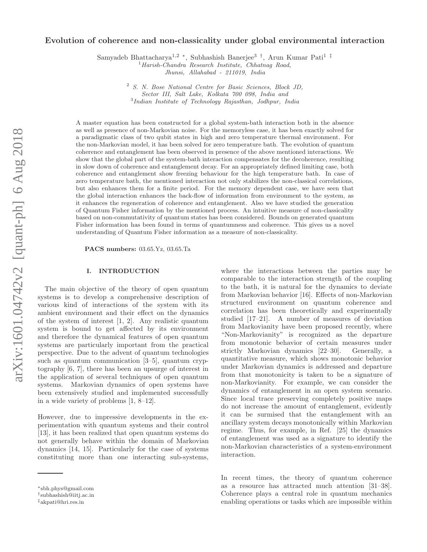# Evolution of coherence and non-classicality under global environmental interaction

Samyadeb Bhattacharya<sup>1,2</sup> <sup>\*</sup>, Subhashish Banerjee<sup>3</sup> <sup>†</sup>, Arun Kumar Pati<sup>1‡</sup>

 $1$ Harish-Chandra Research Institute, Chhatnaq Road,

Jhunsi, Allahabad - 211019, India

<sup>2</sup> S. N. Bose National Centre for Basic Sciences, Block JD, Sector III, Salt Lake, Kolkata 700 098, India and 3 Indian Institute of Technology Rajasthan, Jodhpur, India

A master equation has been constructed for a global system-bath interaction both in the absence as well as presence of non-Markovian noise. For the memoryless case, it has been exactly solved for a paradigmatic class of two qubit states in high and zero temperature thermal environment. For the non-Markovian model, it has been solved for zero temperature bath. The evolution of quantum coherence and entanglement has been observed in presence of the above mentioned interactions. We show that the global part of the system-bath interaction compensates for the decoherence, resulting in slow down of coherence and entanglement decay. For an appropriately defined limiting case, both coherence and entanglement show freezing behaviour for the high temperature bath. In case of zero temperature bath, the mentioned interaction not only stabilizes the non-classical correlations, but also enhances them for a finite period. For the memory dependent case, we have seen that the global interaction enhances the back-flow of information from environment to the system, as it enhances the regeneration of coherence and entanglement. Also we have studied the generation of Quantum Fisher information by the mentioned process. An intuitive measure of non-classicality based on non-commutativity of quantum states has been considered. Bounds on generated quantum Fisher information has been found in terms of quantumness and coherence. This gives us a novel understanding of Quantum Fisher information as a measure of non-classicality.

PACS numbers: 03.65.Yz, 03.65.Ta

### I. INTRODUCTION

The main objective of the theory of open quantum systems is to develop a comprehensive description of various kind of interactions of the system with its ambient environment and their effect on the dynamics of the system of interest [1, 2]. Any realistic quantum system is bound to get affected by its environment and therefore the dynamical features of open quantum systems are particularly important from the practical perspective. Due to the advent of quantum technologies such as quantum communication [3–5], quantum cryptography [6, 7], there has been an upsurge of interest in the application of several techniques of open quantum systems. Markovian dynamics of open systems have been extensively studied and implemented successfully in a wide variety of problems [1, 8–12].

However, due to impressive developments in the experimentation with quantum systems and their control [13], it has been realized that open quantum systems do not generally behave within the domain of Markovian dynamics [14, 15]. Particularly for the case of systems constituting more than one interacting sub-systems,

where the interactions between the parties may be comparable to the interaction strength of the coupling to the bath, it is natural for the dynamics to deviate from Markovian behavior [16]. Effects of non-Markovian structured environment on quantum coherence and correlation has been theoretically and experimentally studied [17–21]. A number of measures of deviation from Markovianity have been proposed recently, where "Non-Markovianity" is recognized as the departure from monotonic behavior of certain measures under strictly Markovian dynamics [22–30]. Generally, a quantitative measure, which shows monotonic behavior under Markovian dynamics is addressed and departure from that monotonicity is taken to be a signature of non-Markovianity. For example, we can consider the dynamics of entanglement in an open system scenario. Since local trace preserving completely positive maps do not increase the amount of entanglement, evidently it can be surmised that the entanglement with an ancillary system decays monotonically within Markovian regime. Thus, for example, in Ref. [25] the dynamics of entanglement was used as a signature to identify the non-Markovian characteristics of a system-environment interaction.

In recent times, the theory of quantum coherence as a resource has attracted much attention [31–38]. Coherence plays a central role in quantum mechanics enabling operations or tasks which are impossible within

<sup>∗</sup>sbh.phys@gmail.com

<sup>†</sup> subhashish@iitj.ac.in

<sup>‡</sup>akpati@hri.res.in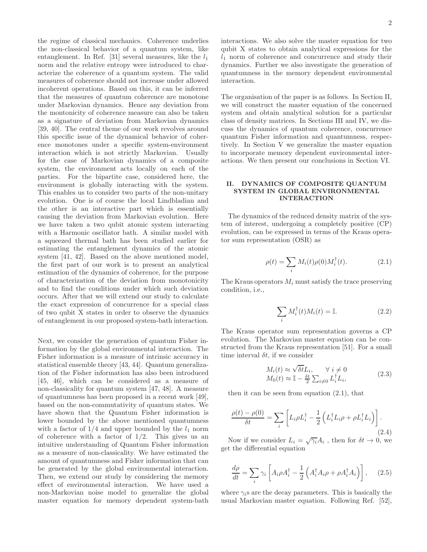the regime of classical mechanics. Coherence underlies the non-classical behavior of a quantum system, like entanglement. In Ref. [31] several measures, like the  $l_1$ norm and the relative entropy were introduced to characterize the coherence of a quantum system. The valid measures of coherence should not increase under allowed incoherent operations. Based on this, it can be inferred that the measures of quantum coherence are monotone under Markovian dynamics. Hence any deviation from the montonicity of coherence measure can also be taken as a signature of deviation from Markovian dynamics [39, 40]. The central theme of our work revolves around this specific issue of the dynamical behavior of coherence monotones under a specific system-environment interaction which is not strictly Markovian. Usually for the case of Markovian dynamics of a composite system, the environment acts locally on each of the parties. For the bipartite case, considered here, the environment is globally interacting with the system. This enables us to consider two parts of the non-unitary evolution. One is of course the local Lindbladian and the other is an interactive part which is essentially causing the deviation from Markovian evolution. Here we have taken a two qubit atomic system interacting with a Harmonic oscillator bath. A similar model with a squeezed thermal bath has been studied earlier for estimating the entanglement dynamics of the atomic system [41, 42]. Based on the above mentioned model, the first part of our work is to present an analytical estimation of the dynamics of coherence, for the purpose of characterization of the deviation from monotonicity and to find the conditions under which such deviation occurs. After that we will extend our study to calculate the exact expression of concurrence for a special class of two qubit X states in order to observe the dynamics of entanglement in our proposed system-bath interaction.

Next, we consider the generation of quantum Fisher information by the global environmental interaction. The Fisher information is a measure of intrinsic accuracy in statistical ensemble theory [43, 44]. Quantum generalization of the Fisher information has also been introduced [45, 46], which can be considered as a measure of non-classicality for quantum system [47, 48]. A measure of quantumness has been proposed in a recent work [49], based on the non-commutativity of quantum states. We have shown that the Quantum Fisher information is lower bounded by the above mentioned quantumness with a factor of  $1/4$  and upper bounded by the  $l_1$  norm of coherence with a factor of  $1/2$ . This gives us an intuitive understanding of Quantum Fisher information as a measure of non-classicality. We have estimated the amount of quantumness and Fisher information that can be generated by the global environmental interaction. Then, we extend our study by considering the memory effect of environmental interaction. We have used a non-Markovian noise model to generalize the global master equation for memory dependent system-bath interactions. We also solve the master equation for two qubit X states to obtain analytical expressions for the  $l_1$  norm of coherence and concurrence and study their dynamics. Further we also investigate the generation of quantumness in the memory dependent environmental interaction.

The organisation of the paper is as follows. In Section II, we will construct the master equation of the concerned system and obtain analytical solution for a particular class of density matrices. In Sections III and IV, we discuss the dynamics of quantum coherence, concurrence quantum Fisher information and quantumness, respectively. In Section V we generalize the master equation to incorporate memory dependent environmental interactions. We then present our conclusions in Section VI.

# II. DYNAMICS OF COMPOSITE QUANTUM SYSTEM IN GLOBAL ENVIRONMENTAL INTERACTION

The dynamics of the reduced density matrix of the system of interest, undergoing a completely positive (CP) evolution, can be expressed in terms of the Kraus operator sum representation (OSR) as

$$
\rho(t) = \sum_{i} M_i(t)\rho(0)M_i^{\dagger}(t). \tag{2.1}
$$

The Kraus operators  $M_i$  must satisfy the trace preserving condition, i.e.,

$$
\sum_{i} M_i^{\dagger}(t) M_i(t) = \mathbb{I}.
$$
\n(2.2)

The Kraus operator sum representation governs a CP evolution. The Markovian master equation can be constructed from the Kraus representation [51]. For a small time interval  $\delta t$ , if we consider

$$
M_i(t) \approx \sqrt{\delta t} L_i, \qquad \forall \ i \neq 0
$$
  

$$
M_0(t) \approx \mathbb{I} - \frac{\delta t}{2} \sum_{i \neq 0} L_i^{\dagger} L_i,
$$
 (2.3)

then it can be seen from equation  $(2.1)$ , that

$$
\frac{\rho(t) - \rho(0)}{\delta t} = \sum_{i} \left[ L_i \rho L_i^{\dagger} - \frac{1}{2} \left( L_i^{\dagger} L_i \rho + \rho L_i^{\dagger} L_i \right) \right].
$$
\n(2.4)

Now if we consider  $L_i = \sqrt{\gamma_i} A_i$ , then for  $\delta t \to 0$ , we get the differential equation

$$
\frac{d\rho}{dt} = \sum_{i} \gamma_i \left[ A_i \rho A_i^{\dagger} - \frac{1}{2} \left( A_i^{\dagger} A_i \rho + \rho A_i^{\dagger} A_i \right) \right], \quad (2.5)
$$

where  $\gamma_i$ s are the decay parameters. This is basically the usual Markovian master equation. Following Ref. [52],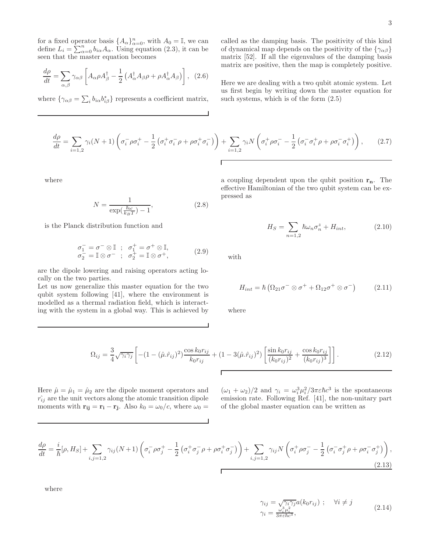for a fixed operator basis  $\{A_{\alpha}\}_{\alpha=0}^n$ , with  $A_0 = \mathbb{I}$ , we can define  $L_i = \sum_{\alpha=0}^n b_{i\alpha} A_{\alpha}$ . Using equation (2.3), it can be seen that the master equation becomes

$$
\frac{d\rho}{dt} = \sum_{\alpha,\beta} \gamma_{\alpha\beta} \left[ A_{\alpha}\rho A_{\beta}^{\dagger} - \frac{1}{2} \left( A_{\alpha}^{\dagger} A_{\beta}\rho + \rho A_{\alpha}^{\dagger} A_{\beta} \right) \right], (2.6)
$$

where  $\{\gamma_{\alpha\beta} = \sum_{i} b_{i\alpha} b_{i\beta}^*\}$  represents a coefficient matrix,

called as the damping basis. The positivity of this kind of dynamical map depends on the positivity of the  $\{\gamma_{\alpha\beta}\}$ matrix [52]. If all the eigenvalues of the damping basis matrix are positive, then the map is completely positive.

Here we are dealing with a two qubit atomic system. Let us first begin by writing down the master equation for such systems, which is of the form (2.5)

$$
\frac{d\rho}{dt} = \sum_{i=1,2} \gamma_i (N+1) \left( \sigma_i^- \rho \sigma_i^+ - \frac{1}{2} \left( \sigma_i^+ \sigma_i^- \rho + \rho \sigma_i^+ \sigma_i^- \right) \right) + \sum_{i=1,2} \gamma_i N \left( \sigma_i^+ \rho \sigma_i^- - \frac{1}{2} \left( \sigma_i^- \sigma_i^+ \rho + \rho \sigma_i^- \sigma_i^+ \right) \right), \tag{2.7}
$$

where

$$
N = \frac{1}{\exp(\frac{\hbar\omega}{k_B T}) - 1},\tag{2.8}
$$

is the Planck distribution function and

$$
\begin{array}{l}\n\sigma_1^- = \sigma^- \otimes \mathbb{I} \; ; \; \sigma_1^+ = \sigma^+ \otimes \mathbb{I}, \\
\sigma_2^- = \mathbb{I} \otimes \sigma^- \; ; \; \sigma_2^+ = \mathbb{I} \otimes \sigma^+, \end{array} \tag{2.9}
$$

are the dipole lowering and raising operators acting locally on the two parties.

Let us now generalize this master equation for the two qubit system following [41], where the environment is modelled as a thermal radiation field, which is interacting with the system in a global way. This is achieved by

a coupling dependent upon the qubit position  $r_n$ . The effective Hamiltonian of the two qubit system can be expressed as

$$
H_S = \sum_{n=1,2} \hbar \omega_n \sigma_n^z + H_{int}, \tag{2.10}
$$

with

$$
H_{int} = \hbar \left( \Omega_{21} \sigma^- \otimes \sigma^+ + \Omega_{12} \sigma^+ \otimes \sigma^- \right) \tag{2.11}
$$

where

$$
\Omega_{ij} = \frac{3}{4} \sqrt{\gamma_i \gamma_j} \left[ -(1 - (\hat{\mu} \cdot \hat{r}_{ij})^2) \frac{\cos k_0 r_{ij}}{k_0 r_{ij}} + (1 - 3(\hat{\mu} \cdot \hat{r}_{ij})^2) \left[ \frac{\sin k_0 r_{ij}}{(k_0 r_{ij})^2} + \frac{\cos k_0 r_{ij}}{(k_0 r_{ij})^3} \right] \right].
$$
\n(2.12)

Here  $\hat{\mu} = \hat{\mu}_1 = \hat{\mu}_2$  are the dipole moment operators and  $\hat{r}_{ij}$  are the unit vectors along the atomic transition dipole moments with  $\mathbf{r}_{ij} = \mathbf{r}_i - \mathbf{r}_j$ . Also  $k_0 = \omega_0/c$ , where  $\omega_0 =$ 

 $(\omega_1 + \omega_2)/2$  and  $\gamma_i = \omega_i^3 \mu_i^2 / 3\pi \varepsilon \hbar c^3$  is the spontaneous emission rate. Following Ref. [41], the non-unitary part of the global master equation can be written as

$$
\frac{d\rho}{dt} = \frac{i}{\hbar}[\rho, H_S] + \sum_{i,j=1,2} \gamma_{ij}(N+1) \left( \sigma_i^- \rho \sigma_j^+ - \frac{1}{2} \left( \sigma_i^+ \sigma_j^- \rho + \rho \sigma_i^+ \sigma_j^- \right) \right) + \sum_{i,j=1,2} \gamma_{ij} N \left( \sigma_i^+ \rho \sigma_j^- - \frac{1}{2} \left( \sigma_i^- \sigma_j^+ \rho + \rho \sigma_i^- \sigma_j^+ \right) \right),\tag{2.13}
$$

where

$$
\gamma_{ij} = \sqrt{\gamma_i \gamma_j} a(k_0 r_{ij}) \; ; \quad \forall i \neq j
$$
\n
$$
\gamma_i = \frac{\omega_i^3 \mu_i^2}{3 \pi \varepsilon \hbar c^3}, \tag{2.14}
$$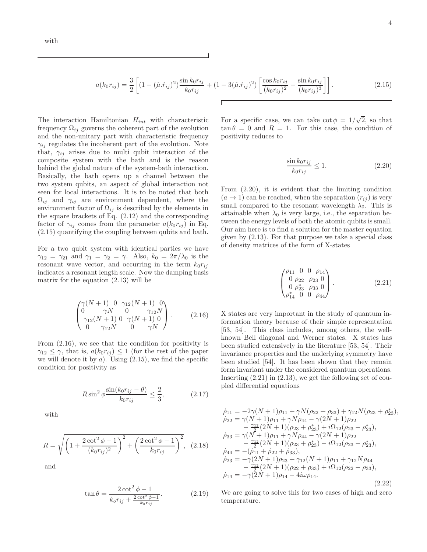$$
a(k_0r_{ij}) = \frac{3}{2} \left[ (1 - (\hat{\mu}.\hat{r}_{ij})^2) \frac{\sin k_0r_{ij}}{k_0r_{ij}} + (1 - 3(\hat{\mu}.\hat{r}_{ij})^2) \left[ \frac{\cos k_0r_{ij}}{(k_0r_{ij})^2} - \frac{\sin k_0r_{ij}}{(k_0r_{ij})^3} \right] \right].
$$
 (2.15)

The interaction Hamiltonian  $H_{int}$  with characteristic frequency  $\Omega_{ij}$  governs the coherent part of the evolution and the non-unitary part with characteristic frequency  $\gamma_{ij}$  regulates the incoherent part of the evolution. Note that,  $\gamma_{ij}$  arises due to multi qubit interaction of the composite system with the bath and is the reason behind the global nature of the system-bath interaction. Basically, the bath opens up a channel between the two system qubits, an aspect of global interaction not seen for local interactions. It is to be noted that both  $\Omega_{ij}$  and  $\gamma_{ij}$  are environment dependent, where the environment factor of  $\Omega_{ij}$  is described by the elements in the square brackets of Eq. (2.12) and the corresponding factor of  $\gamma_{ij}$  comes from the parameter  $a(k_0r_{ij})$  in Eq. (2.15) quantifying the coupling between qubits and bath.

For a two qubit system with identical parties we have  $\gamma_{12} = \gamma_{21}$  and  $\gamma_1 = \gamma_2 = \gamma$ . Also,  $k_0 = 2\pi/\lambda_0$  is the resonant wave vector, and occurring in the term  $k_0r_{ij}$ indicates a resonant length scale. Now the damping basis matrix for the equation (2.13) will be

$$
\begin{pmatrix}\n\gamma(N+1) & 0 & \gamma_{12}(N+1) & 0 \\
0 & \gamma N & 0 & \gamma_{12}N \\
\gamma_{12}(N+1) & 0 & \gamma(N+1) & 0 \\
0 & \gamma_{12}N & 0 & \gamma N\n\end{pmatrix}.
$$
\n(2.16)

From (2.16), we see that the condition for positivity is  $\gamma_{12} \leq \gamma$ , that is,  $a(k_0r_{ij}) \leq 1$  (for the rest of the paper we will denote it by  $a$ ). Using  $(2.15)$ , we find the specific condition for positivity as

$$
R\sin^2\phi \frac{\sin(k_0 r_{ij} - \theta)}{k_0 r_{ij}} \le \frac{2}{3},\tag{2.17}
$$

with

$$
R = \sqrt{\left(1 + \frac{2\cot^2\phi - 1}{(k_0 r_{ij})^2}\right)^2 + \left(\frac{2\cot^2\phi - 1}{k_0 r_{ij}}\right)^2},
$$
 (2.18)

and

$$
\tan \theta = \frac{2 \cot^2 \phi - 1}{k_o r_{ij} + \frac{2 \cot^2 \phi - 1}{k_o r_{ij}}}.
$$
 (2.19)

For a specific case, we can take  $\cot \phi = 1/\sqrt{2}$ , so that  $\tan \theta = 0$  and  $R = 1$ . For this case, the condition of positivity reduces to

$$
\frac{\sin k_0 r_{ij}}{k_0 r_{ij}} \le 1.
$$
\n(2.20)

From (2.20), it is evident that the limiting condition  $(a \rightarrow 1)$  can be reached, when the separation  $(r_{ii})$  is very small compared to the resonant wavelength  $\lambda_0$ . This is attainable when  $\lambda_0$  is very large, i.e., the separation between the energy levels of both the atomic qubits is small. Our aim here is to find a solution for the master equation given by (2.13). For that purpose we take a special class of density matrices of the form of X-states

$$
\begin{pmatrix}\n\rho_{11} & 0 & 0 & \rho_{14} \\
0 & \rho_{22} & \rho_{23} & 0 \\
0 & \rho_{23}^* & \rho_{33} & 0 \\
\rho_{14}^* & 0 & 0 & \rho_{44}\n\end{pmatrix}.
$$
\n(2.21)

X states are very important in the study of quantum information theory because of their simple representation [53, 54]. This class includes, among others, the wellknown Bell diagonal and Werner states. X states has been studied extensively in the literature [53, 54]. Their invariance properties and the underlying symmetry have been studied [54]. It has been shown that they remain form invariant under the considered quantum operations. Inserting  $(2.21)$  in  $(2.13)$ , we get the following set of coupled differential equations

$$
\dot{\rho}_{11} = -2\gamma (N+1)\rho_{11} + \gamma N(\rho_{22} + \rho_{33}) + \gamma_{12}N(\rho_{23} + \rho_{23}^*)
$$
\n
$$
\dot{\rho}_{22} = \gamma (N+1)\rho_{11} + \gamma N\rho_{44} - \gamma (2N+1)\rho_{22} - \frac{\gamma_{12}}{2}(2N+1)(\rho_{23} + \rho_{23}^*) + i\Omega_{12}(\rho_{23} - \rho_{23}^*)
$$
\n
$$
\dot{\rho}_{33} = \gamma (N+1)\rho_{11} + \gamma N\rho_{44} - \gamma (2N+1)\rho_{22} - \frac{\gamma_{12}}{2}(2N+1)(\rho_{23} + \rho_{23}^*) - i\Omega_{12}(\rho_{23} - \rho_{23}^*)
$$
\n
$$
\dot{\rho}_{44} = -(\dot{\rho}_{11} + \dot{\rho}_{22} + \dot{\rho}_{33}),
$$
\n
$$
\dot{\rho}_{23} = -\gamma (2N+1)\rho_{23} + \gamma_{12}(N+1)\rho_{11} + \gamma_{12}N\rho_{44} - \frac{\gamma_{12}}{2}(2N+1)(\rho_{22} + \rho_{33}) + i\Omega_{12}(\rho_{22} - \rho_{33}),
$$
\n
$$
\dot{\rho}_{14} = -\gamma (2N+1)\rho_{14} - 4i\omega\rho_{14}.
$$
\n(2.22)

We are going to solve this for two cases of high and zero temperature.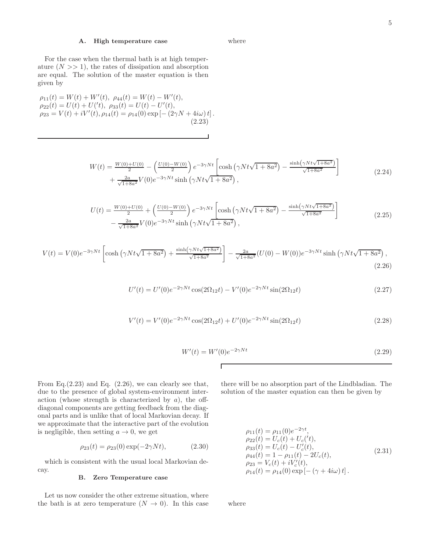# A. High temperature case

For the case when the thermal bath is at high temperature  $(N \gg 1)$ , the rates of dissipation and absorption are equal. The solution of the master equation is then given by

 $\rho_{11}(t) = W(t) + W'(t), \ \rho_{44}(t) = W(t) - W'(t),$  $\rho_{22}(t) = U(t) + U'(t), \ \rho_{33}(t) = U(t) - U'(t),$  $\rho_{23} = V(t) + iV'(t), \rho_{14}(t) = \rho_{14}(0) \exp[-(2\gamma N + 4i\omega)t].$ (2.23)

$$
W(t) = \frac{W(0) + U(0)}{2} - \left(\frac{U(0) - W(0)}{2}\right) e^{-3\gamma N t} \left[\cosh\left(\gamma N t \sqrt{1 + 8a^2}\right) - \frac{\sinh\left(\gamma N t \sqrt{1 + 8a^2}\right)}{\sqrt{1 + 8a^2}}\right] + \frac{2a}{\sqrt{1 + 8a^2}} V(0) e^{-3\gamma N t} \sinh\left(\gamma N t \sqrt{1 + 8a^2}\right),
$$
\n(2.24)

where

$$
U(t) = \frac{W(0) + U(0)}{2} + \left(\frac{U(0) - W(0)}{2}\right) e^{-3\gamma Nt} \left[\cosh\left(\gamma Nt\sqrt{1 + 8a^2}\right) - \frac{\sinh(\gamma Nt\sqrt{1 + 8a^2})}{\sqrt{1 + 8a^2}}\right] - \frac{2a}{\sqrt{1 + 8a^2}} V(0) e^{-3\gamma Nt} \sinh\left(\gamma Nt\sqrt{1 + 8a^2}\right),
$$
\n(2.25)

$$
V(t) = V(0)e^{-3\gamma Nt} \left[ \cosh\left(\gamma Nt\sqrt{1+8a^2}\right) + \frac{\sinh(\gamma Nt\sqrt{1+8a^2})}{\sqrt{1+8a^2}} \right] - \frac{2a}{\sqrt{1+8a^2}} (U(0) - W(0))e^{-3\gamma Nt} \sinh\left(\gamma Nt\sqrt{1+8a^2}\right),\tag{2.26}
$$

 $\Gamma$ 

$$
U'(t) = U'(0)e^{-2\gamma Nt}\cos(2\Omega_{12}t) - V'(0)e^{-2\gamma Nt}\sin(2\Omega_{12}t)
$$
\n(2.27)

$$
V'(t) = V'(0)e^{-2\gamma Nt}\cos(2\Omega_{12}t) + U'(0)e^{-2\gamma Nt}\sin(2\Omega_{12}t)
$$
\n(2.28)

$$
W'(t) = W'(0)e^{-2\gamma Nt}
$$
\n(2.29)

From Eq. $(2.23)$  and Eq.  $(2.26)$ , we can clearly see that, due to the presence of global system-environment interaction (whose strength is characterized by  $a$ ), the offdiagonal components are getting feedback from the diagonal parts and is unlike that of local Markovian decay. If we approximate that the interactive part of the evolution is negligible, then setting  $a \to 0$ , we get

$$
\rho_{23}(t) = \rho_{23}(0) \exp(-2\gamma Nt), \qquad (2.30)
$$

which is consistent with the usual local Markovian decay.

### B. Zero Temperature case

Let us now consider the other extreme situation, where the bath is at zero temperature  $(N \to 0)$ . In this case there will be no absorption part of the Lindbladian. The solution of the master equation can then be given by

$$
\rho_{11}(t) = \rho_{11}(0)e^{-2\gamma t}, \n\rho_{22}(t) = U_c(t) + U_c('t), \n\rho_{33}(t) = U_c(t) - U'_c(t), \n\rho_{44}(t) = 1 - \rho_{11}(t) - 2U_c(t), \n\rho_{23} = V_c(t) + iV'_c(t), \n\rho_{14}(t) = \rho_{14}(0) \exp[-(\gamma + 4i\omega)t].
$$
\n(2.31)

where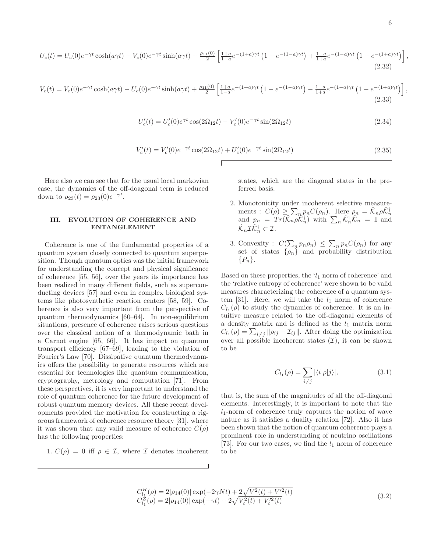$$
U_c(t) = U_c(0)e^{-\gamma t}\cosh(a\gamma t) - V_c(0)e^{-\gamma t}\sinh(a\gamma t) + \frac{\rho_{11}(0)}{2}\left[\frac{1+a}{1-a}e^{-(1+a)\gamma t}\left(1 - e^{-(1-a)\gamma t}\right) + \frac{1-a}{1+a}e^{-(1-a)\gamma t}\left(1 - e^{-(1+a)\gamma t}\right)\right]
$$
\n(2.32)

$$
V_c(t) = V_c(0)e^{-\gamma t}\cosh(a\gamma t) - U_c(0)e^{-\gamma t}\sinh(a\gamma t) + \frac{\rho_{11}(0)}{2}\left[\frac{1+a}{1-a}e^{-(1+a)\gamma t}\left(1-e^{-(1-a)\gamma t}\right) - \frac{1-a}{1+a}e^{-(1-a)\gamma t}\left(1-e^{-(1+a)\gamma t}\right)\right],\tag{2.33}
$$

Г

$$
U_c'(t) = U_c'(0)e^{\gamma t} \cos(2\Omega_{12}t) - V_c'(0)e^{-\gamma t} \sin(2\Omega_{12}t)
$$
\n(2.34)

$$
V_c'(t) = V_c'(0)e^{-\gamma t}\cos(2\Omega_{12}t) + U_c'(0)e^{-\gamma t}\sin(2\Omega_{12}t)
$$
\n(2.35)

Here also we can see that for the usual local markovian case, the dynamics of the off-doagonal term is reduced down to  $\rho_{23}(t) = \rho_{23}(0)e^{-\gamma t}$ .

## III. EVOLUTION OF COHERENCE AND ENTANGLEMENT

Coherence is one of the fundamental properties of a quantum system closely connected to quantum superposition. Though quantum optics was the initial framework for understanding the concept and physical significance of coherence [55, 56], over the years its importance has been realized in many different fields, such as superconducting devices [57] and even in complex biological systems like photosynthetic reaction centers [58, 59]. Coherence is also very important from the perspective of quantum thermodynamics [60–64]. In non-equilibrium situations, presence of coherence raises serious questions over the classical notion of a thermodynamic bath in a Carnot engine [65, 66]. It has impact on quantum transport efficiency [67–69], leading to the violation of Fourier's Law [70]. Dissipative quantum thermodynamics offers the possibility to generate resources which are essential for technologies like quantum communication, cryptography, metrology and computation [71]. From these perspectives, it is very important to understand the role of quantum coherence for the future development of robust quantum memory devices. All these recent developments provided the motivation for constructing a rigorous framework of coherence resource theory [31], where it was shown that any valid measure of coherence  $C(\rho)$ has the following properties:

1. 
$$
C(\rho) = 0
$$
 iff  $\rho \in \mathcal{I}$ , where  $\mathcal{I}$  denotes incoherent

states, which are the diagonal states in the preferred basis.

- 2. Monotonicity under incoherent selective measurements :  $C(\rho) \geq \sum_n p_n C(\rho_n)$ . Here  $\rho_n = \hat{\mathcal{K}}_n \rho \hat{\mathcal{K}}_n^{\dagger}$ <br>and  $p_n = Tr(\hat{\mathcal{K}}_n \rho \hat{\mathcal{K}}_n^{\dagger})$  with  $\sum_n \hat{\mathcal{K}}_n^{\dagger} \hat{\mathcal{K}}_n = \mathbb{I}$  and  $\hat{\mathcal{K}}_n \mathcal{I} \hat{\mathcal{K}}_n^{\dagger} \subset \mathcal{I}.$
- 3. Convexity :  $C(\sum_{n} p_n \rho_n) \leq \sum_{n} p_n C(\rho_n)$  for any set of states  $\{\rho_n\}$  and probability distribution  $\{P_n\}.$

Based on these properties, the  $l_1$  norm of coherence' and the 'relative entropy of coherence' were shown to be valid measures characterizing the coherence of a quantum system [31]. Here, we will take the  $l_1$  norm of coherence  $C_{l_1}(\rho)$  to study the dynamics of coherence. It is an intuitive measure related to the off-diagonal elements of a density matrix and is defined as the  $l_1$  matrix norm  $C_{l_1}(\rho) = \sum_{i \neq j} ||\rho_{ij} - \mathcal{I}_{ij}||$ . After doing the optimization over all possible incoherent states  $(\mathcal{I})$ , it can be shown to be

$$
C_{l_1}(\rho) = \sum_{i \neq j} |\langle i|\rho|j\rangle|, \tag{3.1}
$$

that is, the sum of the magnitudes of all the off-diagonal elements. Interestingly, it is important to note that the  $l_1$ -norm of coherence truly captures the notion of wave nature as it satisfies a duality relation [72]. Also it has been shown that the notion of quantum coherence plays a prominent role in understanding of neutrino oscillations [73]. For our two cases, we find the  $l_1$  norm of coherence to be

$$
C_{l_1}^H(\rho) = 2|\rho_{14}(0)| \exp(-2\gamma Nt) + 2\sqrt{V^2(t) + V'^2(t)}
$$
  
\n
$$
C_{l_1}^Z(\rho) = 2|\rho_{14}(0)| \exp(-\gamma t) + 2\sqrt{V_c^2(t) + V_c'^2(t)}
$$
\n(3.2)

,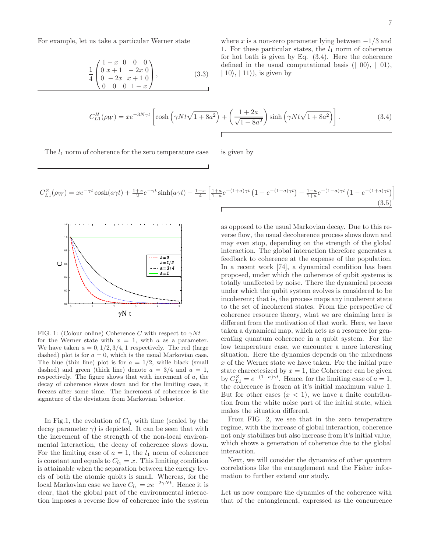For example, let us take a particular Werner state

$$
\frac{1}{4} \begin{pmatrix} 1-x & 0 & 0 & 0 \\ 0 & x+1 & -2x & 0 \\ 0 & -2x & x+1 & 0 \\ 0 & 0 & 0 & 1-x \end{pmatrix},
$$
\n(3.3)

where x is a non-zero parameter lying between  $-1/3$  and 1. For these particular states, the  $l_1$  norm of coherence for hot bath is given by Eq. (3.4). Here the coherence defined in the usual computational basis  $(|00\rangle, |01\rangle,$  $| 10 \rangle$ ,  $| 11 \rangle$ , is given by

$$
C_{L1}^H(\rho_W) = x e^{-3N\gamma t} \left[ \cosh\left(\gamma N t \sqrt{1 + 8a^2}\right) + \left(\frac{1 + 2a}{\sqrt{1 + 8a^2}}\right) \sinh\left(\gamma N t \sqrt{1 + 8a^2}\right) \right].
$$
 (3.4)

The  $l_1$  norm of coherence for the zero temperature case is given by

$$
C_{L1}^{Z}(\rho_W) = x e^{-\gamma t} \cosh(a\gamma t) + \frac{1+x}{2} e^{-\gamma t} \sinh(a\gamma t) - \frac{1-x}{4} \left[ \frac{1+a}{1-a} e^{-(1+a)\gamma t} \left( 1 - e^{-(1-a)\gamma t} \right) - \frac{1-a}{1+a} e^{-(1-a)\gamma t} \left( 1 - e^{-(1+a)\gamma t} \right) \right]
$$
\n(3.5)



FIG. 1: (Colour online) Coherence C with respect to  $\gamma N t$ for the Werner state with  $x = 1$ , with a as a parameter. We have taken  $a = 0, 1/2, 3/4, 1$  respectively. The red (large dashed) plot is for  $a = 0$ , which is the usual Markovian case. The blue (thin line) plot is for  $a = 1/2$ , while black (small dashed) and green (thick line) denote  $a = 3/4$  and  $a = 1$ , respectively. The figure shows that with increment of a, the decay of coherence slows down and for the limiting case, it freezes after some time. The increment of coherence is the signature of the deviation from Markovian behavior.

In Fig.1, the evolution of  $C_{l_1}$  with time (scaled by the decay parameter  $\gamma$ ) is depicted. It can be seen that with the increment of the strength of the non-local environmental interaction, the decay of coherence slows down. For the limiting case of  $a = 1$ , the  $l_1$  norm of coherence is constant and equals to  $C_{l_1} = x$ . This limiting condition is attainable when the separation between the energy levels of both the atomic qubits is small. Whereas, for the local Markovian case we have  $C_{l_1} = xe^{-2\gamma Nt}$ . Hence it is clear, that the global part of the environmental interaction imposes a reverse flow of coherence into the system

as opposed to the usual Markovian decay. Due to this reverse flow, the usual decoherence process slows down and may even stop, depending on the strength of the global interaction. The global interaction therefore generates a feedback to coherence at the expense of the population. In a recent work [74], a dynamical condition has been proposed, under which the coherence of qubit systems is totally unaffected by noise. There the dynamical process under which the qubit system evolves is considered to be incoherent; that is, the process maps any incoherent state to the set of incoherent states. From the perspective of coherence resource theory, what we are claiming here is different from the motivation of that work. Here, we have taken a dynamical map, which acts as a resource for generating quantum coherence in a qubit system. For the low temperature case, we encounter a more interesting situation. Here the dynamics depends on the mixedness x of the Werner state we have taken. For the initial pure state charectesized by  $x = 1$ , the Coherence can be given by  $C_{L1}^Z = e^{-(1-a)\gamma t}$ . Hence, for the limiting case of  $a = 1$ , the coherence is frozen at it's initial maximum value 1. But for other cases  $(x < 1)$ , we have a finite contribution from the white noise part of the initial state, which makes the situation different.

From FIG. 2, we see that in the zero temperature regime, with the increase of global interaction, coherence not only stabilizes but also increase from it's initial value, which shows a generation of coherence due to the global interaction.

Next, we will consider the dynamics of other quantum correlations like the entanglement and the Fisher information to further extend our study.

Let us now compare the dynamics of the coherence with that of the entanglement, expressed as the concurrence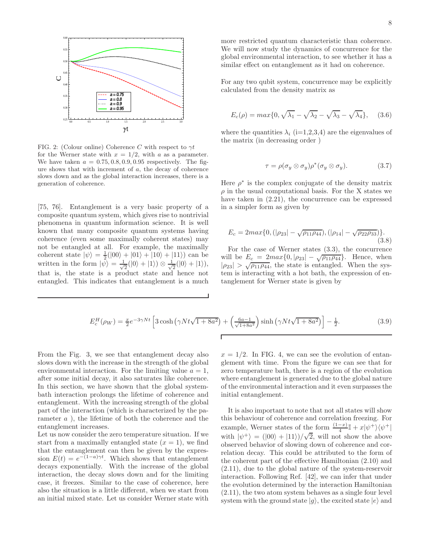

FIG. 2: (Colour online) Coherence C with respect to  $\gamma t$ for the Werner state with  $x = 1/2$ , with a as a parameter. We have taken  $a = 0.75, 0.8, 0.9, 0.95$  respectively. The figure shows that with increment of a, the decay of coherence slows down and as the global interaction increases, there is a generation of coherence.

[75, 76]. Entanglement is a very basic property of a composite quantum system, which gives rise to nontrivial phenomena in quantum information science. It is well known that many composite quantum systems having coherence (even some maximally coherent states) may not be entangled at all. For example, the maximally coherent state  $|\psi\rangle = \frac{1}{2}(|00\rangle + |01\rangle + |10\rangle + |11\rangle)$  can be written in the form  $|\psi\rangle = \frac{1}{\sqrt{2}}$  $\frac{1}{2}(|0\rangle + |1\rangle) \otimes \frac{1}{\sqrt{2}}$  $\frac{1}{2}(|0\rangle + |1\rangle),$ that is, the state is a product state and hence not entangled. This indicates that entanglement is a much

more restricted quantum characteristic than coherence. We will now study the dynamics of concurrence for the global environmental interaction, to see whether it has a similar effect on entanglement as it had on coherence.

For any two qubit system, concurrence may be explicitly calculated from the density matrix as

$$
E_c(\rho) = \max\{0, \sqrt{\lambda_1} - \sqrt{\lambda_2} - \sqrt{\lambda_3} - \sqrt{\lambda_4}\},\quad (3.6)
$$

where the quantities  $\lambda_i$  (i=1,2,3,4) are the eigenvalues of the matrix (in decreasing order )

$$
\tau = \rho(\sigma_y \otimes \sigma_y)\rho^*(\sigma_y \otimes \sigma_y). \tag{3.7}
$$

Here  $\rho^*$  is the complex conjugate of the density matrix  $\rho$  in the usual computational basis. For the X states we have taken in (2.21), the concurrence can be expressed in a simpler form as given by

$$
E_c = 2max\{0, (|\rho_{23}| - \sqrt{\rho_{11}\rho_{44}}), (|\rho_{14}| - \sqrt{\rho_{22}\rho_{33}})\}.
$$
\n(3.8)

For the case of Werner states (3.3), the concurrence will be  $E_c = 2max\{0, |\rho_{23}| - \sqrt{\rho_{11}\rho_{44}}\}$ . Hence, when  $|\rho_{23}| > \sqrt{\rho_{11}\rho_{44}}$ , the state is entangled. When the system is interacting with a hot bath, the expression of entanglement for Werner state is given by

$$
E_c^H(\rho_W) = \frac{x}{2} e^{-3\gamma Nt} \left[ 3 \cosh\left(\gamma Nt\sqrt{1 + 8a^2}\right) + \left(\frac{6a - 1}{\sqrt{1 + 8a^2}}\right) \sinh\left(\gamma Nt\sqrt{1 + 8a^2}\right) \right] - \frac{1}{2}.
$$
 (3.9)

From the Fig. 3, we see that entanglement decay also slows down with the increase in the strength of the global environmental interaction. For the limiting value  $a = 1$ , after some initial decay, it also saturates like coherence. In this section, we have shown that the global systembath interaction prolongs the lifetime of coherence and entanglement. With the increasing strength of the global part of the interaction (which is characterized by the parameter  $a$ ), the lifetime of both the coherence and the entanglement increases.

Let us now consider the zero temperature situation. If we start from a maximally entangled state  $(x = 1)$ , we find that the entanglement can then be given by the expression  $E(t) = e^{-(1-a)\gamma t}$ . Which shows that entanglement decays exponentially. With the increase of the global interaction, the decay slows down and for the limiting case, it freezes. Similar to the case of coherence, here also the situation is a little different, when we start from an initial mixed state. Let us consider Werner state with

 $x = 1/2$ . In FIG. 4, we can see the evolution of entanglement with time. From the figure we can see that for zero temperature bath, there is a region of the evolution where entanglement is generated due to the global nature of the environmental interaction and it even surpasses the initial entanglement.

It is also important to note that not all states will show this behaviour of coherence and correlation freezing. For example, Werner states of the form  $\frac{(1-x)}{4}\mathbb{I}+x|\psi^+\rangle\langle\psi^+|$ with  $|\psi^+\rangle = (|00\rangle + |11\rangle)/\sqrt{2}$ , will not show the above observed behavior of slowing down of coherence and correlation decay. This could be attributed to the form of the coherent part of the effective Hamiltonian (2.10) and (2.11), due to the global nature of the system-reservoir interaction. Following Ref. [42], we can infer that under the evolution determined by the interaction Hamiltonian (2.11), the two atom system behaves as a single four level system with the ground state  $|q\rangle$ , the excited state  $|e\rangle$  and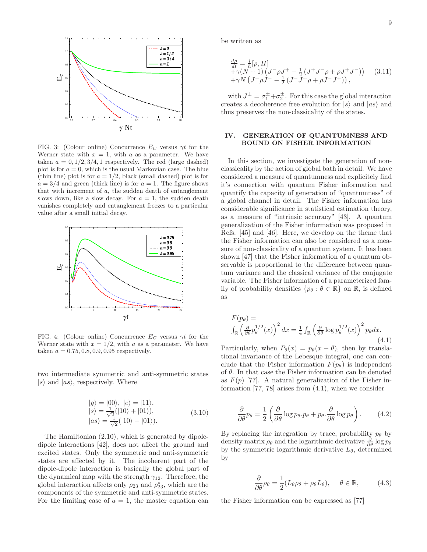

FIG. 3: (Colour online) Concurrence  $E_C$  versus  $\gamma t$  for the Werner state with  $x = 1$ , with a as a parameter. We have taken  $a = 0, 1/2, 3/4, 1$  respectively. The red (large dashed) plot is for  $a = 0$ , which is the usual Markovian case. The blue (thin line) plot is for  $a = 1/2$ , black (small dashed) plot is for  $a = 3/4$  and green (thick line) is for  $a = 1$ . The figure shows that with increment of  $a$ , the sudden death of entanglement slows down, like a slow decay. For  $a = 1$ , the sudden death vanishes completely and entanglement freezes to a particular value after a small initial decay.



FIG. 4: (Colour online) Concurrence  $E_C$  versus  $\gamma t$  for the Werner state with  $x = 1/2$ , with a as a parameter. We have taken  $a = 0.75, 0.8, 0.9, 0.95$  respectively.

two intermediate symmetric and anti-symmetric states  $|s\rangle$  and  $|as\rangle$ , respectively. Where

$$
|g\rangle = |00\rangle, |e\rangle = |11\rangle,|s\rangle = \frac{1}{\sqrt{2}}(|10\rangle + |01\rangle),|as\rangle = \frac{1}{\sqrt{2}}(|10\rangle - |01\rangle).
$$
 (3.10)

The Hamiltonian (2.10), which is generated by dipoledipole interactions [42], does not affect the ground and excited states. Only the symmetric and anti-symmetric states are affected by it. The incoherent part of the dipole-dipole interaction is basically the global part of the dynamical map with the strength  $\gamma_{12}$ . Therefore, the global interaction affects only  $\rho_{23}$  and  $\rho_{23}^*$ , which are the components of the symmetric and anti-symmetric states. For the limiting case of  $a = 1$ , the master equation can

be written as

$$
\frac{d\rho}{dt} = \frac{i}{\hbar} [\rho, H] + \gamma (N+1) \left( J^- \rho J^+ - \frac{1}{2} \left( J^+ J^- \rho + \rho J^+ J^- \right) \right) \quad (3.11) + \gamma N \left( J^+ \rho J^- - \frac{1}{2} \left( J^- J^+ \rho + \rho J^- J^+ \right) \right),
$$

with  $J^{\pm} = \sigma_1^{\pm} + \sigma_2^{\pm}$ . For this case the global interaction creates a decoherence free evolution for  $|s\rangle$  and  $|as\rangle$  and thus preserves the non-classicality of the states.

### IV. GENERATION OF QUANTUMNESS AND BOUND ON FISHER INFORMATION

In this section, we investigate the generation of nonclassicality by the action of global bath in detail. We have considered a measure of quantumness and explicitely find it's connection with quantum Fisher information and quantify the capacity of generation of "quantumness" of a global channel in detail. The Fisher information has considerable significance in statistical estimation theory, as a measure of "intrinsic accuracy" [43]. A quantum generalization of the Fisher information was proposed in Refs. [45] and [46]. Here, we develop on the theme that the Fisher information can also be considered as a measure of non-classicality of a quantum system. It has been shown [47] that the Fisher information of a quantum observable is proportional to the difference between quantum variance and the classical variance of the conjugate variable. The Fisher information of a parameterized family of probability densities  $\{p_\theta : \theta \in \mathbb{R}\}\$  on  $\mathbb{R}$ , is defined as

$$
F(p_{\theta}) = \int_{\mathbb{R}} \left(\frac{\partial}{\partial \theta} p_{\theta}^{1/2}(x)\right)^2 dx = \frac{1}{4} \int_{\mathbb{R}} \left(\frac{\partial}{\partial \theta} \log p_{\theta}^{1/2}(x)\right)^2 p_{\theta} dx.
$$
\n(4.1)

Particularly, when  $P_{\theta}(x) = p_{\theta}(x - \theta)$ , then by translational invariance of the Lebesque integral, one can conclude that the Fisher information  $F(p_\theta)$  is independent of  $\theta$ . In that case the Fisher information can be denoted as  $F(p)$  [77]. A natural generalization of the Fisher information [77, 78] arises from (4.1), when we consider

$$
\frac{\partial}{\partial \theta} p_{\theta} = \frac{1}{2} \left( \frac{\partial}{\partial \theta} \log p_{\theta} . p_{\theta} + p_{\theta} . \frac{\partial}{\partial \theta} \log p_{\theta} \right). \tag{4.2}
$$

By replacing the integration by trace, probability  $p_{\theta}$  by density matrix  $\rho_{\theta}$  and the logarithmic derivative  $\frac{\partial}{\partial \theta} \log p_{\theta}$ by the symmetric logarithmic derivative  $L_{\theta}$ , determined by

$$
\frac{\partial}{\partial \theta} \rho_{\theta} = \frac{1}{2} (L_{\theta} \rho_{\theta} + \rho_{\theta} L_{\theta}), \quad \theta \in \mathbb{R}, \quad (4.3)
$$

the Fisher information can be expressed as [77]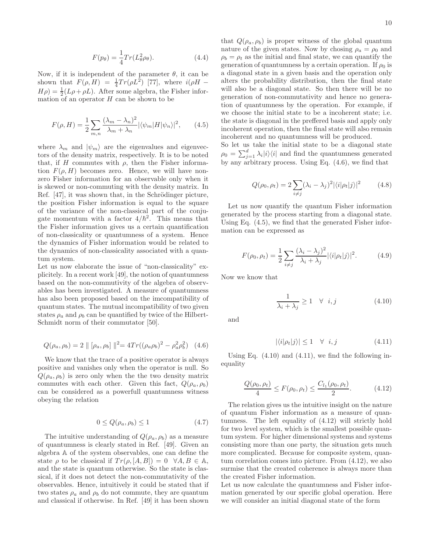$$
F(p_{\theta}) = \frac{1}{4} Tr(L_{\theta}^2 \rho_{\theta}).
$$
\n(4.4)

Now, if it is independent of the parameter  $\theta$ , it can be shown that  $F(\rho, H) = \frac{1}{4} Tr(\rho L^2)$  [77], where  $i(\rho H H\rho$ ) =  $\frac{1}{2}(L\rho + \rho L)$ . After some algebra, the Fisher information of an operator  $H$  can be shown to be

$$
F(\rho, H) = \frac{1}{2} \sum_{m,n} \frac{(\lambda_m - \lambda_n)^2}{\lambda_m + \lambda_n} |\langle \psi_m | H | \psi_n \rangle|^2, \qquad (4.5)
$$

where  $\lambda_m$  and  $|\psi_m\rangle$  are the eigenvalues and eigenvectors of the density matrix, respectively. It is to be noted that, if H commutes with  $\rho$ , then the Fisher information  $F(\rho, H)$  becomes zero. Hence, we will have nonzero Fisher information for an observable only when it is skewed or non-commuting with the density matrix. In Ref.  $[47]$ , it was shown that, in the Schrödinger picture, the position Fisher information is equal to the square of the variance of the non-classical part of the conjugate momentum with a factor  $4/\hbar^2$ . This means that the Fisher information gives us a certain quantification of non-classicality or quantumness of a system. Hence the dynamics of Fisher information would be related to the dynamics of non-classicality associated with a quantum system.

Let us now elaborate the issue of "non-classicality" explicitely. In a recent work [49], the notion of quantumness based on the non-commutivity of the algebra of observables has been investigated. A measure of quantumness has also been proposed based on the imcompatibility of quantum states. The mutual incompatibility of two given states  $\rho_a$  and  $\rho_b$  can be quantified by twice of the Hilbert-Schmidt norm of their commutator [50].

$$
Q(\rho_a, \rho_b) = 2 \| [\rho_a, \rho_b] \|^2 = 4Tr((\rho_a \rho_b)^2 - \rho_a^2 \rho_b^2) \quad (4.6)
$$

We know that the trace of a positive operator is always positive and vanishes only when the operator is null. So  $Q(\rho_a, \rho_b)$  is zero only when the the two density matrix commutes with each other. Given this fact,  $Q(\rho_a, \rho_b)$ can be considered as a powerfull quantumness witness obeying the relation

$$
0 \le Q(\rho_a, \rho_b) \le 1 \tag{4.7}
$$

The intuitive understanding of  $Q(\rho_a, \rho_b)$  as a measure of quantumness is clearly stated in Ref. [49]. Given an algebra A of the system observables, one can define the state  $\rho$  to be classical if  $Tr(\rho, [A, B]) = 0 \quad \forall A, B \in \mathbb{A}$ , and the state is quantum otherwise. So the state is classical, if it does not detect the non-commutativity of the observables. Hence, intuitively it could be stated that if two states  $\rho_a$  and  $\rho_b$  do not commute, they are quantum and classical if otherwise. In Ref. [49] it has been shown

that  $Q(\rho_a, \rho_b)$  is proper witness of the global quantum nature of the given states. Now by chosing  $\rho_a = \rho_0$  and  $\rho_b = \rho_t$  as the initial and final state, we can quantify the generation of quantumness by a certain operation. If  $\rho_0$  is a diagonal state in a given basis and the operation only alters the probability distribution, then the final state will also be a diagonal state. So then there will be no generation of non-commutativity and hence no generation of quantumness by the operation. For example, if we choose the initial state to be a incoherent state; i.e. the state is diagonal in the preffered basis and apply only incoherent operation, then the final state will also remain incoherent and no quantumness will be produced.

So let us take the initial state to be a diagonal state  $\rho_0 = \sum_{j=1}^d \lambda_i |i\rangle\langle i|$  and find the quantumness generated by any arbitrary process. Using Eq. (4.6), we find that

$$
Q(\rho_0, \rho_t) = 2 \sum_{i \neq j} (\lambda_i - \lambda_j)^2 |\langle i | \rho_t | j \rangle|^2 \tag{4.8}
$$

Let us now quantify the quantum Fisher information generated by the process starting from a diagonal state. Using Eq. (4.5), we find that the generated Fisher information can be expressed as

$$
F(\rho_0, \rho_t) = \frac{1}{2} \sum_{i \neq j} \frac{(\lambda_i - \lambda_j)^2}{\lambda_i + \lambda_j} |\langle i|\rho_t|j\rangle|^2.
$$
 (4.9)

Now we know that

$$
\frac{1}{\lambda_i + \lambda_j} \ge 1 \quad \forall \quad i, j \tag{4.10}
$$

and

$$
|\langle i|\rho_t|j\rangle| \le 1 \quad \forall \quad i,j \tag{4.11}
$$

Using Eq.  $(4.10)$  and  $(4.11)$ , we find the following inequality

$$
\frac{Q(\rho_0, \rho_t)}{4} \le F(\rho_0, \rho_t) \le \frac{C_{l_1}(\rho_0, \rho_t)}{2}.
$$
 (4.12)

The relation gives us the intuitive insight on the nature of quantum Fisher information as a measure of quantumness. The left equality of (4.12) will strictly hold for two level system, which is the smallest possible quantum system. For higher dimensional systems and systems consisting more than one party, the situation gets much more complicated. Because for composite system, quantum correlation comes into picture. From (4.12), we also surmise that the created coherence is always more than the created Fisher information.

Let us now calculate the quantumness and Fisher information generated by our specific global operation. Here we will consider an initial diagonal state of the form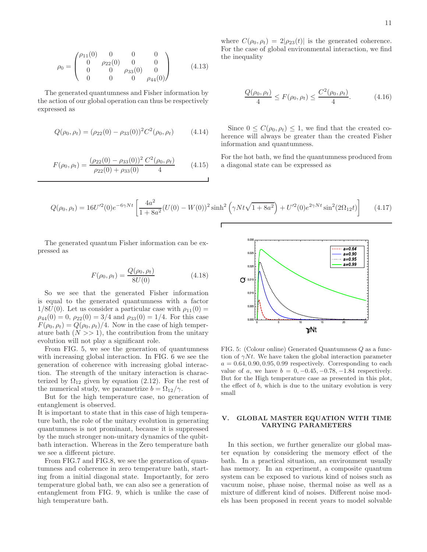$$
\rho_0 = \begin{pmatrix} \rho_{11}(0) & 0 & 0 & 0 \\ 0 & \rho_{22}(0) & 0 & 0 \\ 0 & 0 & \rho_{33}(0) & 0 \\ 0 & 0 & 0 & \rho_{44}(0) \end{pmatrix}
$$
(4.13)

The generated quantumness and Fisher information by the action of our global operation can thus be respectively expressed as

$$
Q(\rho_0, \rho_t) = (\rho_{22}(0) - \rho_{33}(0))^2 C^2(\rho_0, \rho_t)
$$
 (4.14)

$$
F(\rho_0, \rho_t) = \frac{(\rho_{22}(0) - \rho_{33}(0))^2}{\rho_{22}(0) + \rho_{33}(0)} \frac{C^2(\rho_0, \rho_t)}{4}
$$
 (4.15)

where  $C(\rho_0, \rho_t) = 2|\rho_{23}(t)|$  is the generated coherence. For the case of global environmental interaction, we find the inequality

$$
\frac{Q(\rho_0, \rho_t)}{4} \le F(\rho_0, \rho_t) \le \frac{C^2(\rho_0, \rho_t)}{4}.
$$
 (4.16)

Since  $0 \leq C(\rho_0, \rho_t) \leq 1$ , we find that the created coherence will always be greater than the created Fisher information and quantumness.

For the hot bath, we find the quantumness produced from a diagonal state can be expressed as

$$
Q(\rho_0, \rho_t) = 16U^{\prime 2}(0)e^{-6\gamma Nt} \left[ \frac{4a^2}{1+8a^2}(U(0) - W(0))^2 \sinh^2\left(\gamma Nt\sqrt{1+8a^2}\right) + U^{\prime 2}(0)e^{2\gamma Nt} \sin^2(2\Omega_{12}t) \right]
$$
(4.17)

The generated quantum Fisher information can be expressed as

$$
F(\rho_0, \rho_t) = \frac{Q(\rho_0, \rho_t)}{8U(0)}
$$
(4.18)

So we see that the generated Fisher information is equal to the generated quantumness with a factor  $1/8U(0)$ . Let us consider a particular case with  $\rho_{11}(0) =$  $\rho_{44}(0) = 0$ ,  $\rho_{22}(0) = 3/4$  and  $\rho_{33}(0) = 1/4$ . For this case  $F(\rho_0, \rho_t) = Q(\rho_0, \rho_t)/4$ . Now in the case of high temperature bath  $(N \gg 1)$ , the contribution from the unitary evolution will not play a significant role.

From FIG. 5, we see the generation of quantumness with increasing global interaction. In FIG. 6 we see the generation of coherence with increasing global interaction. The strength of the unitary interaction is characterized by  $\Omega_{12}$  given by equation (2.12). For the rest of the numerical study, we parametrize  $b = \Omega_{12}/\gamma$ .

But for the high temperature case, no generation of entanglement is observed.

It is important to state that in this case of high temperature bath, the role of the unitary evolution in generating quantumness is not prominant, because it is suppressed by the much stronger non-unitary dynamics of the qubitbath interaction. Whereas in the Zero temperature bath we see a different picture.

From FIG.7 and FIG.8, we see the generation of quantumness and coherence in zero temperature bath, starting from a initial diagonal state. Importantly, for zero temperature global bath, we can also see a generation of entanglement from FIG. 9, which is unlike the case of high temperature bath.



FIG. 5: (Colour online) Generated Quantumness Q as a function of  $\gamma N t$ . We have taken the global interaction parameter  $a = 0.64, 0.90, 0.95, 0.99$  respectively. Corresponding to each value of a, we have  $b = 0, -0.45, -0.78, -1.84$  respectively. But for the High temperature case as presented in this plot, the effect of  $b$ , which is due to the unitary evolution is very small

# V. GLOBAL MASTER EQUATION WITH TIME VARYING PARAMETERS

In this section, we further generalize our global master equation by considering the memory effect of the bath. In a practical situation, an environment usually has memory. In an experiment, a composite quantum system can be exposed to various kind of noises such as vacuum noise, phase noise, thermal noise as well as a mixture of different kind of noises. Different noise models has been proposed in recent years to model solvable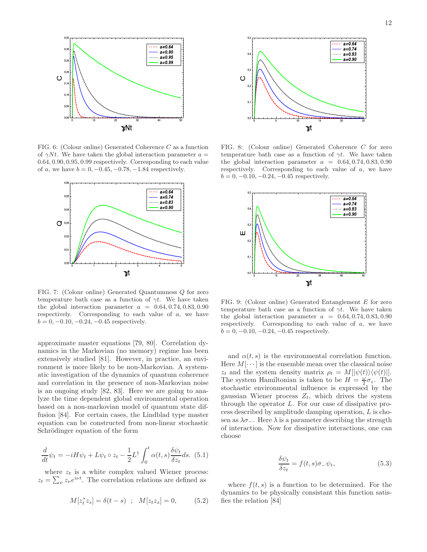

FIG. 6: (Colour online) Generated Coherence C as a function of  $\gamma N t$ . We have taken the global interaction parameter  $a =$ 0.64, 0.90, 0.95, 0.99 respectively. Corresponding to each value of a, we have  $b = 0, -0.45, -0.78, -1.84$  respectively.



FIG. 7: (Colour online) Generated Quantumness Q for zero temperature bath case as a function of  $\gamma t$ . We have taken the global interaction parameter  $a = 0.64, 0.74, 0.83, 0.90$ respectively. Corresponding to each value of a, we have  $b = 0, -0.10, -0.24, -0.45$  respectively.

approximate master equations [79, 80]. Correlation dynamics in the Markovian (no memory) regime has been extensively studied [81]. However, in practice, an environment is more likely to be non-Markovian. A systematic investigation of the dynamics of quantum coherence and correlation in the presence of non-Markovian noise is an ongoing study [82, 83]. Here we are going to analyze the time dependent global environmental operation based on a non-markovian model of quantum state diffusion [84]. For certain cases, the Lindblad type master equation can be constructed from non-linear stochastic Schrödinger equation of the form

$$
\frac{d}{dt}\psi_t = -iH\psi_t + L\psi_t \circ z_t - \frac{1}{2}L^{\dagger} \int_0^t \alpha(t,s) \frac{\delta \psi_t}{\delta z_t} ds. \tag{5.1}
$$

where  $z_t$  is a white complex valued Wiener process:  $z_t = \sum_{\nu} z_{\nu} e^{i\nu t}$ . The correlation relations are defined as

$$
M[z_t^* z_s] = \delta(t - s) \; ; \; M[z_t z_s] = 0, \qquad (5.2)
$$



FIG. 8: (Colour online) Generated Coherence C for zero temperature bath case as a function of  $\gamma t$ . We have taken the global interaction parameter  $a = 0.64, 0.74, 0.83, 0.90$ respectively. Corresponding to each value of a, we have  $b = 0, -0.10, -0.24, -0.45$  respectively.



FIG. 9: (Colour online) Generated Entanglement E for zero temperature bath case as a function of  $\gamma t$ . We have taken the global interaction parameter  $a = 0.64, 0.74, 0.83, 0.90$ respectively. Corresponding to each value of a, we have  $b = 0, -0.10, -0.24, -0.45$  respectively.

and  $\alpha(t, s)$  is the environmental correlation function. Here  $M[\cdots]$  is the ensemble mean over the classical noise  $z_t$  and the system density matrix  $\rho_t = M[|\psi(t)\rangle\langle\psi(t)|].$ The system Hamiltonian is taken to be  $H = \frac{\omega}{2} \sigma_z$ . The stochastic environmental influence is expressed by the gaussian Wiener process  $Z_t$ , which drives the system through the operator L. For our case of dissipative process described by amplitude damping operation, L is chosen as  $\lambda \sigma_-\$ . Here  $\lambda$  is a parameter describing the strength of interaction. Now for dissipative interactions, one can choose

$$
\frac{\delta \psi_t}{\delta z_t} = f(t, s)\sigma_-\psi_t,\tag{5.3}
$$

where  $f(t, s)$  is a function to be determined. For the dynamics to be physically consistant this function satisfies the relation [84]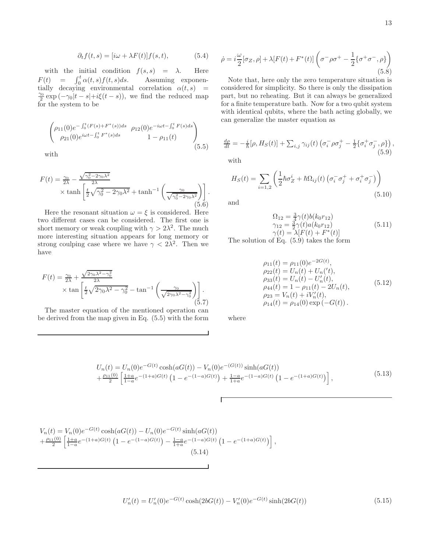$$
\partial_t f(t,s) = [i\omega + \lambda F(t)]f(s,t), \tag{5.4}
$$

with the initial condition  $f(s, s) = \lambda$ . Here  $F(t) = \int_0^t \alpha(t, s) f(t, s) ds.$  Assuming exponentially decaying environmental correlation  $\alpha(t,s)$  =  $\frac{\gamma_0}{2} \exp(-\gamma_0|t-s|+i\xi(t-s)),$  we find the reduced map for the system to be

$$
\begin{pmatrix}\n\rho_{11}(0)e^{-\int_0^t (F(s)+F^*(s))ds} & \rho_{12}(0)e^{-i\omega t - \int_0^t F(s)ds} \\
\rho_{21}(0)e^{i\omega t - \int_0^t F^*(s)ds} & 1 - \rho_{11}(t)\n\end{pmatrix}
$$
\n(5.5)

with

$$
F(t) = \frac{\gamma_0}{2\lambda} - \frac{\sqrt{\gamma_0^2 - 2\gamma_0 \lambda^2}}{2\lambda} \times \tanh\left[\frac{t}{2}\sqrt{\gamma_0^2 - 2\gamma_0 \lambda^2} + \tanh^{-1}\left(\frac{\gamma_0}{\sqrt{\gamma_0^2 - 2\gamma_0 \lambda^2}}\right)\right].
$$
\n(5.6)

Here the resonant situation  $\omega = \xi$  is considered. Here two different cases can be considered. The first one is short memory or weak coupling with  $\gamma > 2\lambda^2$ . The much more interesting situation appears for long memory or strong coulping case where we have  $\gamma < 2\lambda^2$ . Then we have

$$
F(t) = \frac{\gamma_0}{2\lambda} + \frac{\sqrt{2\gamma_0\lambda^2 - \gamma_0^2}}{2\lambda}
$$

$$
\times \tan\left[\frac{t}{2}\sqrt{2\gamma_0\lambda^2 - \gamma_0^2} - \tan^{-1}\left(\frac{\gamma_0}{\sqrt{2\gamma_0\lambda^2 - \gamma_0^2}}\right)\right].
$$
(5.7)

The master equation of the mentioned operation can be derived from the map given in Eq. (5.5) with the form

$$
\dot{\rho} = i\frac{\omega}{2}[\sigma_Z, \rho] + \lambda [F(t) + F^*(t)] \left(\sigma^- \rho \sigma^+ - \frac{1}{2} \{\sigma^+ \sigma^- , \rho\} \right)
$$
\n(5.8)

Note that, here only the zero temperature situation is considered for simplicity. So there is only the dissipation part, but no reheating. But it can always be generalized for a finite temperature bath. Now for a two qubit system with identical qubits, where the bath acting globally, we can generalize the master equation as

$$
\frac{d\rho}{dt} = -\frac{i}{\hbar}[\rho, H_S(t)] + \sum_{i,j} \gamma_{ij}(t) \left(\sigma_i^- \rho \sigma_j^+ - \frac{1}{2} \{\sigma_i^+ \sigma_j^- , \rho \} \right),\tag{5.9}
$$

with

$$
H_S(t) = \sum_{i=1,2} \left( \frac{1}{2} \hbar \sigma_Z^i + \hbar \Omega_{ij}(t) \left( \sigma_i^- \sigma_j^+ + \sigma_i^+ \sigma_j^- \right) \right)
$$
\n(5.10)

and

$$
\Omega_{12} = \frac{3}{4}\gamma(t)b(k_0r_{12})
$$
  
\n
$$
\gamma_{12} = \frac{3}{2}\gamma(t)a(k_0r_{12})
$$
  
\n
$$
\gamma(t) = \lambda[F(t) + F^*(t)]
$$
\n(5.11)

The solution of Eq. (5.9) takes the form

$$
\rho_{11}(t) = \rho_{11}(0)e^{-2G(t)},
$$
  
\n
$$
\rho_{22}(t) = U_n(t) + U_n('t),
$$
  
\n
$$
\rho_{33}(t) = U_n(t) - U'_n(t),
$$
  
\n
$$
\rho_{44}(t) = 1 - \rho_{11}(t) - 2U_n(t),
$$
  
\n
$$
\rho_{23} = V_n(t) + iV'_n(t),
$$
  
\n
$$
\rho_{14}(t) = \rho_{14}(0) \exp(-G(t)).
$$
\n(5.12)

where

$$
U_n(t) = U_n(0)e^{-G(t)}\cosh(aG(t)) - V_n(0)e^{-(G(t))}\sinh(aG(t))
$$
  
 
$$
+ \frac{\rho_{11}(0)}{2} \left[ \frac{1+a}{1-a}e^{-(1+a)G(t)} \left(1 - e^{-(1-a)G(t)}\right) + \frac{1-a}{1+a}e^{-(1-a)G(t)} \left(1 - e^{-(1+a)G(t)}\right) \right],
$$
 (5.13)

Г

$$
V_n(t) = V_n(0)e^{-G(t)}\cosh(aG(t)) - U_n(0)e^{-G(t)}\sinh(aG(t)) + \frac{\rho_{11}(0)}{2}\left[\frac{1+a}{1-a}e^{-(1+a)G(t)}\left(1 - e^{-(1-a)G(t)}\right) - \frac{1-a}{1+a}e^{-(1-a)G(t)}\left(1 - e^{-(1+a)G(t)}\right)\right]
$$
\n(5.14)

$$
U'_n(t) = U'_n(0)e^{-G(t)}\cosh(2bG(t)) - V'_n(0)e^{-G(t)}\sinh(2bG(t))
$$
\n(5.15)

,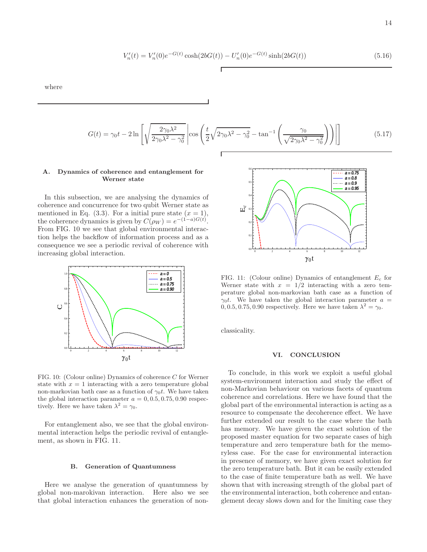$$
V'_{n}(t) = V'_{n}(0)e^{-G(t)}\cosh(2bG(t)) - U'_{n}(0)e^{-G(t)}\sinh(2bG(t))
$$
\n(5.16)

where

$$
G(t) = \gamma_0 t - 2 \ln \left[ \sqrt{\frac{2 \gamma_0 \lambda^2}{2 \gamma_0 \lambda^2 - \gamma_0^2}} \left| \cos \left( \frac{t}{2} \sqrt{2 \gamma_0 \lambda^2 - \gamma_0^2} - \tan^{-1} \left( \frac{\gamma_0}{\sqrt{2 \gamma_0 \lambda^2 - \gamma_0^2}} \right) \right) \right| \right]
$$
(5.17)

## A. Dynamics of coherence and entanglement for Werner state

In this subsection, we are analysing the dynamics of coherence and concurrence for two qubit Werner state as mentioned in Eq. (3.3). For a initial pure state  $(x = 1)$ , the coherence dynamics is given by  $C(\rho_W) = e^{-(1-a)G(t)}$ . From FIG. 10 we see that global environmental interaction helps the backflow of information process and as a consequence we see a periodic revival of coherence with increasing global interaction.



FIG. 10: (Colour online) Dynamics of coherence C for Werner state with  $x = 1$  interacting with a zero temperature global non-markovian bath case as a function of  $\gamma_0 t$ . We have taken the global interaction parameter  $a = 0, 0.5, 0.75, 0.90$  respectively. Here we have taken  $\lambda^2 = \gamma_0$ .

For entanglement also, we see that the global environmental interaction helps the periodic revival of entanglement, as shown in FIG. 11.

### B. Generation of Quantumness

Here we analyse the generation of quantumness by global non-marokivan interaction. Here also we see that global interaction enhances the generation of non-



FIG. 11: (Colour online) Dynamics of entanglement  $E_c$  for Werner state with  $x = 1/2$  interacting with a zero temperature global non-markovian bath case as a function of  $\gamma_0 t$ . We have taken the global interaction parameter  $a =$ 0, 0.5, 0.75, 0.90 respectively. Here we have taken  $\lambda^2 = \gamma_0$ .

classicality.

### VI. CONCLUSION

To conclude, in this work we exploit a useful global system-environment interaction and study the effect of non-Markovian behaviour on various facets of quantum coherence and correlations. Here we have found that the global part of the environmental interaction is acting as a resource to compensate the decoherence effect. We have further extended our result to the case where the bath has memory. We have given the exact solution of the proposed master equation for two separate cases of high temperature and zero temperature bath for the memoryless case. For the case for environmental interaction in presence of memory, we have given exact solution for the zero temperature bath. But it can be easily extended to the case of finite temperature bath as well. We have shown that with increasing strength of the global part of the environmental interaction, both coherence and entanglement decay slows down and for the limiting case they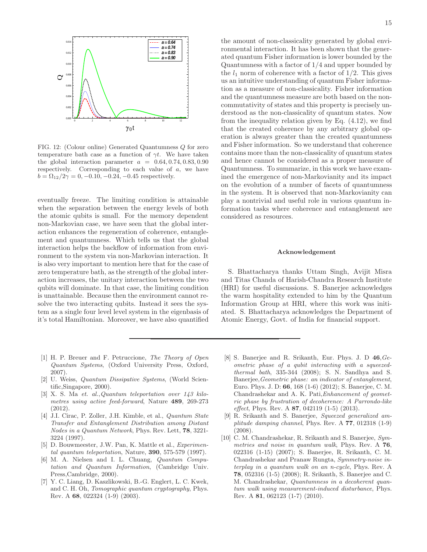

FIG. 12: (Colour online) Generated Quantumness Q for zero temperature bath case as a function of  $\gamma t$ . We have taken the global interaction parameter  $a = 0.64, 0.74, 0.83, 0.90$ respectively. Corresponding to each value of a, we have  $b = \Omega_{12}/2\gamma = 0, -0.10, -0.24, -0.45$  respectively.

eventually freeze. The limiting condition is attainable when the separation between the energy levels of both the atomic qubits is small. For the memory dependent non-Markovian case, we have seen that the global interaction enhances the regeneration of coherence, entanglement and quantumness. Which tells us that the global interaction helps the backflow of information from environment to the system via non-Markovian interaction. It is also very important to mention here that for the case of zero temperature bath, as the strength of the global interaction increases, the unitary interaction between the two qubits will dominate. In that case, the limiting condition is unattainable. Because then the environment cannot resolve the two interacting qubits. Instead it sees the system as a single four level level system in the eigenbasis of it's total Hamiltonian. Moreover, we have also quantified

- [1] H. P. Breuer and F. Petruccione, The Theory of Open Quantum Systems, (Oxford University Press, Oxford, 2007).
- [2] U. Weiss, Quantum Dissipative Systems, (World Scientific,Singapore, 2000).
- [3] X. S. Ma et. al.,Quantum teleportation over 143 kilometres using active feed-forward, Nature 489, 269-273 (2012).
- [4] J.I. Cirac, P. Zoller, J.H. Kimble, et al., Quantum State Transfer and Entanglement Distribution among Distant Nodes in a Quantum Network, Phys. Rev. Lett, 78, 3221- 3224 (1997).
- [5] D. Bouwmeester, J.W. Pan, K. Mattle et al., Experimental quantum teleportation, Nature,  $390, 575-579$  (1997).
- [6] M. A. Nielsen and I. L. Chuang, Quantum Computation and Quantum Information, (Cambridge Univ. Press,Cambridge, 2000).
- [7] Y. C. Liang, D. Kaszlikowski, B.-G. Englert, L. C. Kwek, and C. H. Oh, Tomographic quantum cryptography, Phys. Rev. A 68, 022324 (1-9) (2003).

the amount of non-classicality generated by global environmental interaction. It has been shown that the generated quantum Fisher information is lower bounded by the Quantumness with a factor of 1/4 and upper bounded by the  $l_1$  norm of coherence with a factor of  $1/2$ . This gives us an intuitive understanding of quantum Fisher information as a measure of non-classicality. Fisher information and the quantumness measure are both based on the noncommutativity of states and this property is precisely understood as the non-classicality of quantum states. Now from the inequality relation given by Eq. (4.12), we find that the created coherence by any arbitrary global operation is always greater than the created quantumness and Fisher information. So we understand that coherence contains more than the non-classicality of quantum states and hence cannot be considered as a proper measure of Quantumness. To summarize, in this work we have examined the emergence of non-Markovianity and its impact on the evolution of a number of facets of quantumness in the system. It is observed that non-Markovianity can play a nontrivial and useful role in various quantum information tasks where coherence and entanglement are considered as resources.

## Acknowledgement

S. Bhattacharya thanks Uttam Singh, Avijit Misra and Titas Chanda of Harish-Chandra Research Institute (HRI) for useful discussions. S. Banerjee acknowledges the warm hospitality extended to him by the Quantum Information Group at HRI, where this work was initiated. S. Bhattacharya acknowledges the Department of Atomic Energy, Govt. of India for financial support.

- [8] S. Banerjee and R. Srikanth, Eur. Phys. J. D 46,Geometric phase of a qubit interacting with a squeezedthermal bath, 335-344 (2008); S. N. Sandhya and S. Banerjee,Geometric phase: an indicator of entanglement, Euro. Phys. J. D: 66, 168 (1-6) (2012); S. Banerjee, C. M. Chandrashekar and A. K. Pati,Enhancement of geometric phase by frustration of decoherence: A Parrondo-like *effect*, Phys. Rev. A  $87$ , 042119 (1-5) (2013).
- [9] R. Srikanth and S. Banerjee, Squeezed generalized amplitude damping channel, Phys. Rev. A  $77$ , 012318 (1-9) (2008).
- [10] C. M. Chandrashekar, R. Srikanth and S. Banerjee, Symmetries and noise in quantum walk, Phys. Rev. A 76, 022316 (1-15) (2007); S. Banerjee, R. Srikanth, C. M. Chandrashekar and Pranaw Rungta, Symmetry-noise interplay in a quantum walk on an n-cycle, Phys. Rev. A 78, 052316 (1-5) (2008); R. Srikanth, S. Banerjee and C. M. Chandrashekar, Quantumness in a decoherent quantum walk using measurement-induced disturbance, Phys. Rev. A 81, 062123 (1-7) (2010).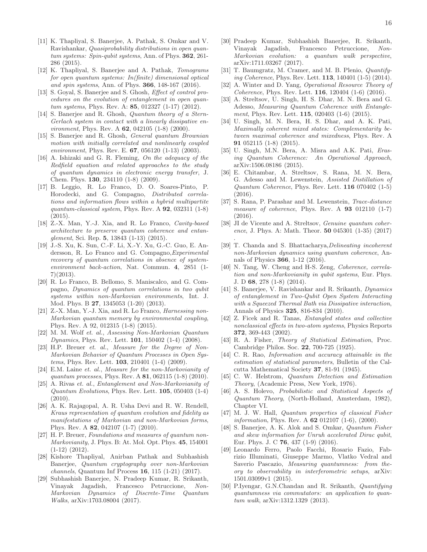- [11] K. Thapliyal, S. Banerjee, A. Pathak, S. Omkar and V. Ravishankar, Quasiprobability distributions in open quantum systems: Spin-qubit systems, Ann. of Phys. **362**, 261-286 (2015).
- [12] K. Thapliyal, S. Banerjee and A. Pathak, Tomograms for open quantum systems: In(finite) dimensional optical and spin systems, Ann. of Phys. 366, 148-167 (2016).
- [13] S. Goyal, S. Banerjee and S. Ghosh, *Effect of control pro*cedures on the evolution of entanglement in open quantum systems, Phys. Rev. A: **85**, 012327 (1-17) (2012).
- [14] S. Banerjee and R. Ghosh, Quantum theory of a Stern-Gerlach system in contact with a linearly dissipative en*vironment*, Phys. Rev. A  $62$ , 042105 (1-8) (2000).
- [15] S. Banerjee and R. Ghosh, General quantum Brownian motion with initially correlated and nonlinearly coupled environment, Phys. Rev. E.  $67, 056120$   $(1-13)$   $(2003)$ .
- [16] A. Ishizaki and G. R. Fleming, On the adequacy of the Redfield equation and related approaches to the study of quantum dynamics in electronic energy transfer, J. Chem. Phys. 130, 234110 (1-8) (2009).
- [17] B. Leggio, R. Lo Franco, D. O. Soares-Pinto, P. Horodecki, and G. Compagno, Distributed correlations and information flows within a hybrid multipartite quantum-classical system, Phys. Rev.  $A$  92, 032311 (1-8) (2015).
- [18] Z.-X. Man, Y.-J. Xia, and R. Lo Franco, Cavity-based architecture to preserve quantum coherence and entanglement, Sci. Rep. 5, 13843 (1-13) (2015).
- [19] J.-S. Xu, K. Sun, C.-F. Li, X.-Y. Xu, G.-C. Guo, E. Andersson, R. Lo Franco and G. Compagno,Experimental recovery of quantum correlations in absence of systemenvironment back-action, Nat. Commun. 4, 2851 (1- 7)(2013).
- [20] R. Lo Franco, B. Bellomo, S. Maniscalco, and G. Compagno, Dynamics of quantum correlations in two qubit systems within non-Markovian environments, Int. J. Mod. Phys. B 27, 1345053 (1-20) (2013).
- [21] Z.-X. Man, Y.-J. Xia, and R. Lo Franco, *Harnessing non*-Markovian quantum memory by environmental coupling, Phys. Rev. A 92, 012315 (1-8) (2015).
- [22] M. M. Wolf et. al., Assessing Non-Markovian Quantum Dynamics, Phys. Rev. Lett. 101, 150402 (1-4) (2008).
- [23] H.P. Breuer et. al., Measure for the Degree of Non-Markovian Behavior of Quantum Processes in Open Systems, Phys. Rev. Lett. 103, 210401 (1-4) (2009).
- [24] E.M. Laine et. al., Measure for the non-Markovianity of quantum processes, Phys. Rev. A 81, 062115 (1-8) (2010).
- [25] A. Rivas et. al., Entanglement and Non-Markovianity of Quantum Evolutions, Phys. Rev. Lett. 105, 050403 (1-4) (2010).
- [26] A. K. Rajagopal, A. R. Usha Devi and R. W. Rendell, Kraus representation of quantum evolution and fidelity as manifestations of Markovian and non-Markovian forms, Phys. Rev. A 82, 042107 (1-7) (2010).
- [27] H. P. Breuer, Foundations and measures of quantum non-Markovianity, J. Phys. B: At. Mol. Opt. Phys. 45, 154001 (1-12) (2012).
- [28] Kishore Thapliyal, Anirban Pathak and Subhashish Banerjee, Quantum cryptography over non-Markovian channels, Quantum Inf Process 16, 115 (1-21) (2017).
- [29] Subhashish Banerjee, N. Pradeep Kumar, R. Srikanth, Vinayak Jagadish, Francesco Petruccione, Non-Markovian Dynamics of Discrete-Time Quantum Walks, arXiv:1703.08004 (2017).
- [30] Pradeep Kumar, Subhashish Banerjee, R. Srikanth, Vinayak Jagadish, Francesco Petruccione, Non-Markovian evolution: a quantum walk perspective, arXiv:1711.03267 (2017).
- [31] T. Baumgratz, M. Cramer, and M. B. Plenio, Quantifying Coherence, Phys. Rev. Lett. 113, 140401 (1-5) (2014).
- [32] A. Winter and D. Yang, Operational Resource Theory of Coherence, Phys. Rev. Lett. 116, 120404 (1-6) (2016).
- [33] A. Streltsov, U. Singh, H. S. Dhar, M. N. Bera and G. Adesso, Measuring Quantum Coherence with Entanglement, Phys. Rev. Lett. **115**, 020403 (1-6) (2015).
- [34] U. Singh, M. N. Bera, H. S. Dhar, and A. K. Pati, Maximally coherent mixed states: Complementarity between maximal coherence and mixedness, Phys. Rev. A 91 052115 (1-8) (2015).
- [35] U. Singh, M.N. Bera, A. Misra and A.K. Pati, *Eras*ing Quantum Coherence: An Operational Approach, arXiv:1506.08186 (2015).
- [36] E. Chitambar, A. Streltsov, S. Rana, M. N. Bera, G. Adesso and M. Lewenstein, Assisted Distillation of Quantum Coherence, Phys. Rev. Lett. 116 070402 (1-5) (2016).
- [37] S. Rana, P. Parashar and M. Lewenstein, Trace-distance measure of coherence, Phys. Rev. A  $93$  012110 (1-7) (2016).
- [38] JI de Vicente and A. Streltsov, *Genuine quantum coher*ence, J. Phys. A: Math. Theor. 50 045301 (1-35) (2017)

.

- [39] T. Chanda and S. Bhattacharya, *Delineating incoherent* non-Markovian dynamics using quantum coherence, Annals of Physics 366, 1-12 (2016).
- [40] N. Tang, W. Cheng and H-S. Zeng, *Coherence*, *correla*tion and non-Markovianity in qubit systems, Eur. Phys. J. D 68, 278 (1-8) (2014).
- [41] S. Banerjee, V. Ravishankar and R. Srikanth, Dynamics of entanglement in Two-Qubit Open System Interacting with a Squeezed Thermal Bath via Dissipative interaction, Annals of Physics 325, 816-834 (2010).
- [42] Z. Ficek and R. Tanas, Entangled states and collective nonclassical effects in two-atom systems, Physics Reports 372, 369-443 (2002).
- [43] R. A. Fisher, Theory of Statistical Estimation, Proc. Cambridge Philos. Soc. 22, 700-725 (1925).
- [44] C. R. Rao, *Information and accuracy attainable in the* estimation of statistical parameters, Bulletin of the Calcutta Mathematical Society 37, 81-91 (1945).
- [45] C. W. Helstrom, Quantum Detection and Estimation Theory, (Academic Press, New York, 1976).
- [46] A. S. Holevo, Probabilistic and Statistical Aspects of Quantum Theory, (North-Holland, Amsterdam, 1982), Chapter VI.
- [47] M. J. W. Hall, Quantum properties of classical Fisher information, Phys. Rev. A **62** 012107 (1-6), (2000).
- [48] S. Banerjee, A. K. Alok and S. Omkar, Quantum Fisher and skew information for Unruh accelerated Dirac qubit, Eur. Phys. J. C 76, 437 (1-9) (2016).
- [49] Leonardo Ferro, Paolo Facchi, Rosario Fazio, Fabrizio Illuminati, Giuseppe Marmo, Vlatko Vedral and Saverio Pascazio, Measuring quantumness: from theory to observability in interferometric setups, arXiv: 1501.03099v1 (2015).
- [50] P.Iyengar, G.N.Chandan and R. Srikanth, Quantifying quantumness via commutators: an application to quantum walk, arXiv:1312.1329 (2013).